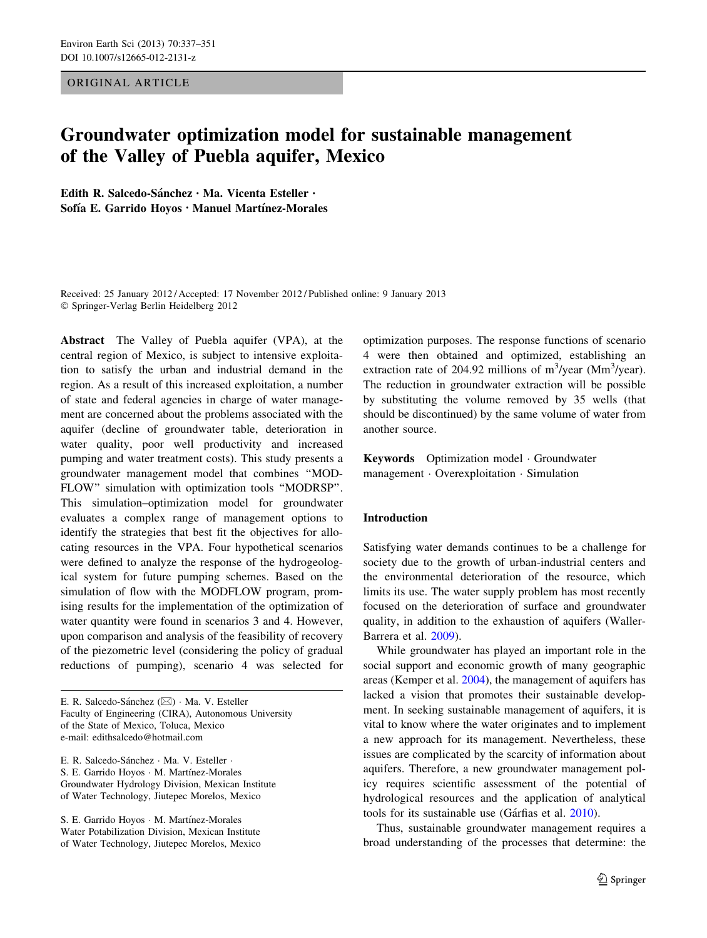### ORIGINAL ARTICLE

# Groundwater optimization model for sustainable management of the Valley of Puebla aquifer, Mexico

Edith R. Salcedo-Sánchez · Ma. Vicenta Esteller · Sofía E. Garrido Hoyos · Manuel Martínez-Morales

Received: 25 January 2012 / Accepted: 17 November 2012 / Published online: 9 January 2013 - Springer-Verlag Berlin Heidelberg 2012

Abstract The Valley of Puebla aquifer (VPA), at the central region of Mexico, is subject to intensive exploitation to satisfy the urban and industrial demand in the region. As a result of this increased exploitation, a number of state and federal agencies in charge of water management are concerned about the problems associated with the aquifer (decline of groundwater table, deterioration in water quality, poor well productivity and increased pumping and water treatment costs). This study presents a groundwater management model that combines ''MOD-FLOW'' simulation with optimization tools ''MODRSP''. This simulation–optimization model for groundwater evaluates a complex range of management options to identify the strategies that best fit the objectives for allocating resources in the VPA. Four hypothetical scenarios were defined to analyze the response of the hydrogeological system for future pumping schemes. Based on the simulation of flow with the MODFLOW program, promising results for the implementation of the optimization of water quantity were found in scenarios 3 and 4. However, upon comparison and analysis of the feasibility of recovery of the piezometric level (considering the policy of gradual reductions of pumping), scenario 4 was selected for

E. R. Salcedo-Sánchez (⊠) · Ma. V. Esteller Faculty of Engineering (CIRA), Autonomous University of the State of Mexico, Toluca, Mexico e-mail: edithsalcedo@hotmail.com

E. R. Salcedo-Sánchez · Ma. V. Esteller · S. E. Garrido Hoyos · M. Martínez-Morales Groundwater Hydrology Division, Mexican Institute of Water Technology, Jiutepec Morelos, Mexico

S. E. Garrido Hoyos · M. Martínez-Morales Water Potabilization Division, Mexican Institute of Water Technology, Jiutepec Morelos, Mexico optimization purposes. The response functions of scenario 4 were then obtained and optimized, establishing an extraction rate of 204.92 millions of  $m^3$ /year (Mm<sup>3</sup>/year). The reduction in groundwater extraction will be possible by substituting the volume removed by 35 wells (that should be discontinued) by the same volume of water from another source.

Keywords Optimization model - Groundwater management - Overexploitation - Simulation

#### Introduction

Satisfying water demands continues to be a challenge for society due to the growth of urban-industrial centers and the environmental deterioration of the resource, which limits its use. The water supply problem has most recently focused on the deterioration of surface and groundwater quality, in addition to the exhaustion of aquifers (Waller-Barrera et al. [2009](#page-14-0)).

While groundwater has played an important role in the social support and economic growth of many geographic areas (Kemper et al. [2004\)](#page-13-0), the management of aquifers has lacked a vision that promotes their sustainable development. In seeking sustainable management of aquifers, it is vital to know where the water originates and to implement a new approach for its management. Nevertheless, these issues are complicated by the scarcity of information about aquifers. Therefore, a new groundwater management policy requires scientific assessment of the potential of hydrological resources and the application of analytical tools for its sustainable use (Gárfias et al. [2010](#page-13-0)).

Thus, sustainable groundwater management requires a broad understanding of the processes that determine: the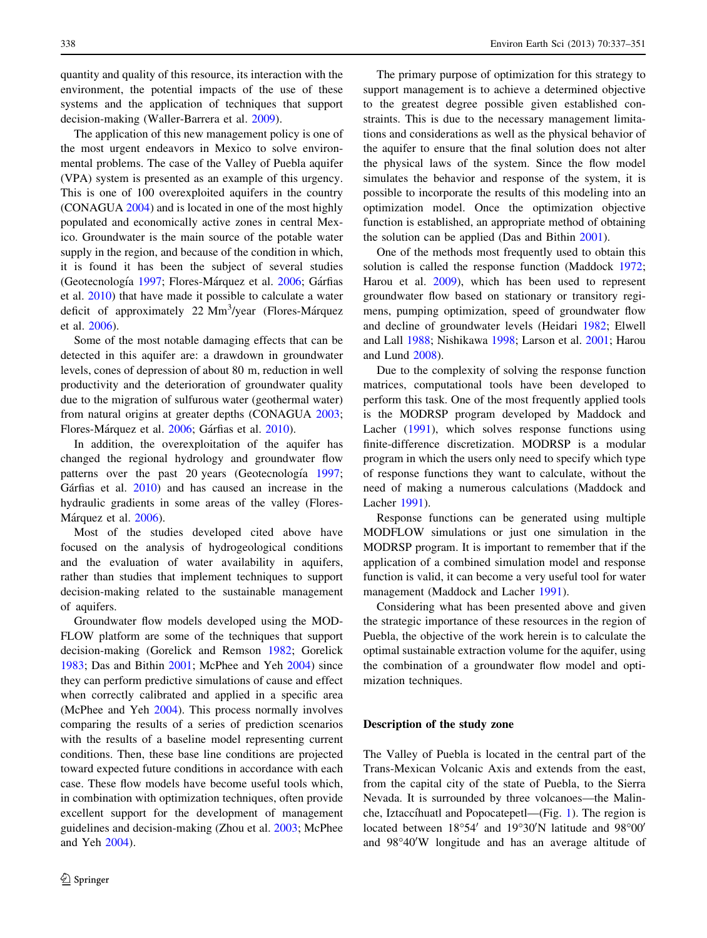quantity and quality of this resource, its interaction with the environment, the potential impacts of the use of these systems and the application of techniques that support decision-making (Waller-Barrera et al. [2009](#page-14-0)).

The application of this new management policy is one of the most urgent endeavors in Mexico to solve environmental problems. The case of the Valley of Puebla aquifer (VPA) system is presented as an example of this urgency. This is one of 100 overexploited aquifers in the country (CONAGUA [2004](#page-13-0)) and is located in one of the most highly populated and economically active zones in central Mexico. Groundwater is the main source of the potable water supply in the region, and because of the condition in which, it is found it has been the subject of several studies (Geotecnología [1997](#page-13-0); Flores-Márquez et al. [2006;](#page-13-0) Gárfias et al. [2010](#page-13-0)) that have made it possible to calculate a water deficit of approximately 22 Mm<sup>3</sup>/year (Flores-Márquez et al. [2006\)](#page-13-0).

Some of the most notable damaging effects that can be detected in this aquifer are: a drawdown in groundwater levels, cones of depression of about 80 m, reduction in well productivity and the deterioration of groundwater quality due to the migration of sulfurous water (geothermal water) from natural origins at greater depths (CONAGUA [2003](#page-13-0); Flores-Márquez et al. [2006;](#page-13-0) Gárfias et al. [2010\)](#page-13-0).

In addition, the overexploitation of the aquifer has changed the regional hydrology and groundwater flow patterns over the past 20 years (Geotecnología [1997](#page-13-0); Gárfias et al.  $2010$ ) and has caused an increase in the hydraulic gradients in some areas of the valley (Flores-Márquez et al. [2006\)](#page-13-0).

Most of the studies developed cited above have focused on the analysis of hydrogeological conditions and the evaluation of water availability in aquifers, rather than studies that implement techniques to support decision-making related to the sustainable management of aquifers.

Groundwater flow models developed using the MOD-FLOW platform are some of the techniques that support decision-making (Gorelick and Remson [1982;](#page-13-0) Gorelick [1983;](#page-13-0) Das and Bithin [2001](#page-13-0); McPhee and Yeh [2004\)](#page-13-0) since they can perform predictive simulations of cause and effect when correctly calibrated and applied in a specific area (McPhee and Yeh [2004\)](#page-13-0). This process normally involves comparing the results of a series of prediction scenarios with the results of a baseline model representing current conditions. Then, these base line conditions are projected toward expected future conditions in accordance with each case. These flow models have become useful tools which, in combination with optimization techniques, often provide excellent support for the development of management guidelines and decision-making (Zhou et al. [2003;](#page-14-0) McPhee and Yeh [2004\)](#page-13-0).

The primary purpose of optimization for this strategy to support management is to achieve a determined objective to the greatest degree possible given established constraints. This is due to the necessary management limitations and considerations as well as the physical behavior of the aquifer to ensure that the final solution does not alter the physical laws of the system. Since the flow model simulates the behavior and response of the system, it is possible to incorporate the results of this modeling into an optimization model. Once the optimization objective function is established, an appropriate method of obtaining the solution can be applied (Das and Bithin [2001](#page-13-0)).

One of the methods most frequently used to obtain this solution is called the response function (Maddock [1972](#page-13-0); Harou et al. [2009](#page-13-0)), which has been used to represent groundwater flow based on stationary or transitory regimens, pumping optimization, speed of groundwater flow and decline of groundwater levels (Heidari [1982;](#page-13-0) Elwell and Lall [1988;](#page-13-0) Nishikawa [1998](#page-14-0); Larson et al. [2001;](#page-13-0) Harou and Lund [2008](#page-13-0)).

Due to the complexity of solving the response function matrices, computational tools have been developed to perform this task. One of the most frequently applied tools is the MODRSP program developed by Maddock and Lacher ([1991\)](#page-13-0), which solves response functions using finite-difference discretization. MODRSP is a modular program in which the users only need to specify which type of response functions they want to calculate, without the need of making a numerous calculations (Maddock and Lacher [1991](#page-13-0)).

Response functions can be generated using multiple MODFLOW simulations or just one simulation in the MODRSP program. It is important to remember that if the application of a combined simulation model and response function is valid, it can become a very useful tool for water management (Maddock and Lacher [1991](#page-13-0)).

Considering what has been presented above and given the strategic importance of these resources in the region of Puebla, the objective of the work herein is to calculate the optimal sustainable extraction volume for the aquifer, using the combination of a groundwater flow model and optimization techniques.

#### Description of the study zone

The Valley of Puebla is located in the central part of the Trans-Mexican Volcanic Axis and extends from the east, from the capital city of the state of Puebla, to the Sierra Nevada. It is surrounded by three volcanoes—the Malin-che, Iztaccíhuatl and Popocatepetl—(Fig. [1\)](#page-2-0). The region is located between 18°54' and 19°30'N latitude and 98°00' and 98°40'W longitude and has an average altitude of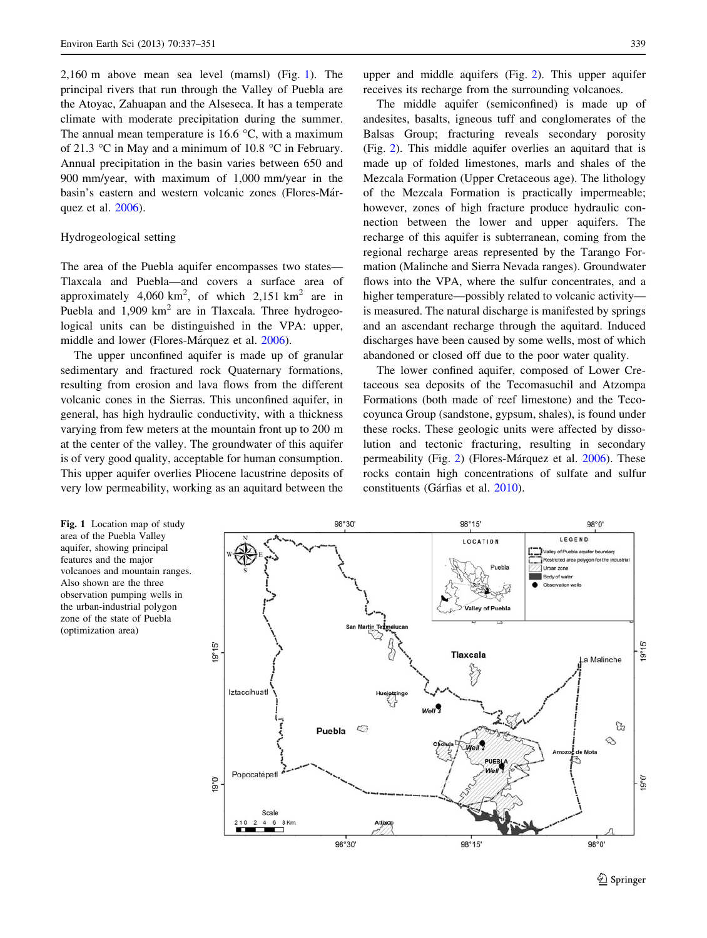<span id="page-2-0"></span>2,160 m above mean sea level (mamsl) (Fig. 1). The principal rivers that run through the Valley of Puebla are the Atoyac, Zahuapan and the Alseseca. It has a temperate climate with moderate precipitation during the summer. The annual mean temperature is 16.6  $\degree$ C, with a maximum of 21.3  $\degree$ C in May and a minimum of 10.8  $\degree$ C in February. Annual precipitation in the basin varies between 650 and 900 mm/year, with maximum of 1,000 mm/year in the basin's eastern and western volcanic zones (Flores-Márquez et al. [2006\)](#page-13-0).

## Hydrogeological setting

The area of the Puebla aquifer encompasses two states— Tlaxcala and Puebla—and covers a surface area of approximately  $4,060 \text{ km}^2$ , of which  $2,151 \text{ km}^2$  are in Puebla and  $1,909$  km<sup>2</sup> are in Tlaxcala. Three hydrogeological units can be distinguished in the VPA: upper, middle and lower (Flores-Márquez et al. [2006](#page-13-0)).

The upper unconfined aquifer is made up of granular sedimentary and fractured rock Quaternary formations, resulting from erosion and lava flows from the different volcanic cones in the Sierras. This unconfined aquifer, in general, has high hydraulic conductivity, with a thickness varying from few meters at the mountain front up to 200 m at the center of the valley. The groundwater of this aquifer is of very good quality, acceptable for human consumption. This upper aquifer overlies Pliocene lacustrine deposits of very low permeability, working as an aquitard between the

upper and middle aquifers (Fig. [2\)](#page-3-0). This upper aquifer receives its recharge from the surrounding volcanoes.

The middle aquifer (semiconfined) is made up of andesites, basalts, igneous tuff and conglomerates of the Balsas Group; fracturing reveals secondary porosity (Fig. [2\)](#page-3-0). This middle aquifer overlies an aquitard that is made up of folded limestones, marls and shales of the Mezcala Formation (Upper Cretaceous age). The lithology of the Mezcala Formation is practically impermeable; however, zones of high fracture produce hydraulic connection between the lower and upper aquifers. The recharge of this aquifer is subterranean, coming from the regional recharge areas represented by the Tarango Formation (Malinche and Sierra Nevada ranges). Groundwater flows into the VPA, where the sulfur concentrates, and a higher temperature—possibly related to volcanic activity is measured. The natural discharge is manifested by springs and an ascendant recharge through the aquitard. Induced discharges have been caused by some wells, most of which abandoned or closed off due to the poor water quality.

The lower confined aquifer, composed of Lower Cretaceous sea deposits of the Tecomasuchil and Atzompa Formations (both made of reef limestone) and the Tecocoyunca Group (sandstone, gypsum, shales), is found under these rocks. These geologic units were affected by dissolution and tectonic fracturing, resulting in secondary permeability (Fig. [2](#page-3-0)) (Flores-Márquez et al. [2006\)](#page-13-0). These rocks contain high concentrations of sulfate and sulfur constituents (Gárfias et al. [2010](#page-13-0)).

Fig. 1 Location map of study area of the Puebla Valley aquifer, showing principal features and the major volcanoes and mountain ranges. Also shown are the three observation pumping wells in the urban-industrial polygon zone of the state of Puebla (optimization area)

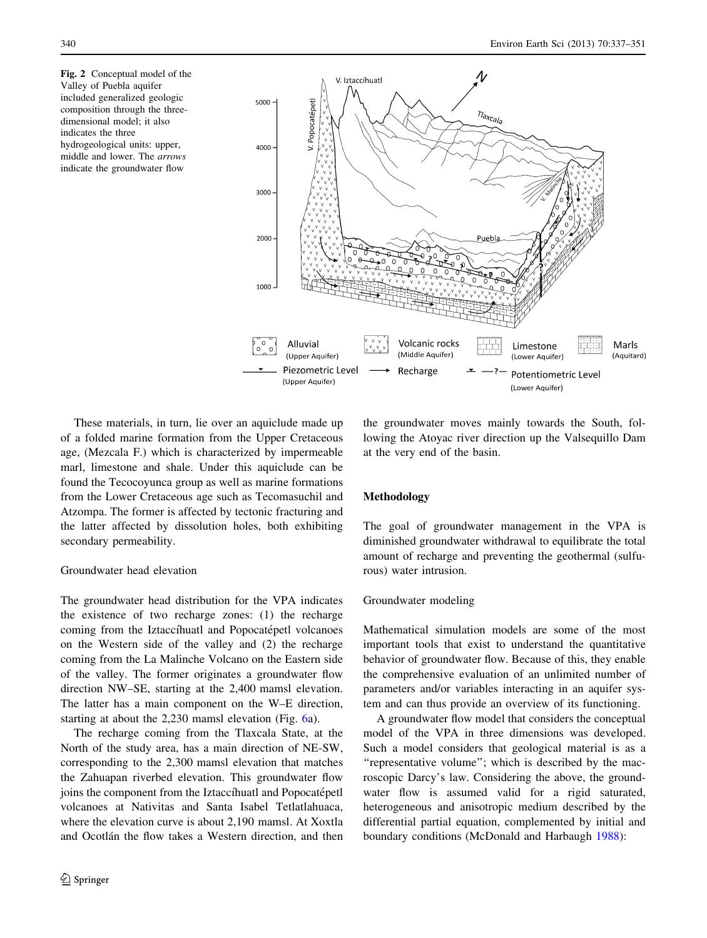<span id="page-3-0"></span>Fig. 2 Conceptual model of the Valley of Puebla aquifer included generalized geologic composition through the threedimensional model; it also indicates the three hydrogeological units: upper, middle and lower. The arrows indicate the groundwater flow



These materials, in turn, lie over an aquiclude made up of a folded marine formation from the Upper Cretaceous age, (Mezcala F.) which is characterized by impermeable marl, limestone and shale. Under this aquiclude can be found the Tecocoyunca group as well as marine formations from the Lower Cretaceous age such as Tecomasuchil and Atzompa. The former is affected by tectonic fracturing and the latter affected by dissolution holes, both exhibiting secondary permeability.

## Groundwater head elevation

The groundwater head distribution for the VPA indicates the existence of two recharge zones: (1) the recharge coming from the Iztaccíhuatl and Popocatépetl volcanoes on the Western side of the valley and (2) the recharge coming from the La Malinche Volcano on the Eastern side of the valley. The former originates a groundwater flow direction NW–SE, starting at the 2,400 mamsl elevation. The latter has a main component on the W–E direction, starting at about the 2,230 mamsl elevation (Fig. [6](#page-9-0)a).

The recharge coming from the Tlaxcala State, at the North of the study area, has a main direction of NE-SW, corresponding to the 2,300 mamsl elevation that matches the Zahuapan riverbed elevation. This groundwater flow joins the component from the Iztaccíhuatl and Popocatépetl volcanoes at Nativitas and Santa Isabel Tetlatlahuaca, where the elevation curve is about 2,190 mamsl. At Xoxtla and Ocotlán the flow takes a Western direction, and then the groundwater moves mainly towards the South, following the Atoyac river direction up the Valsequillo Dam at the very end of the basin.

## Methodology

The goal of groundwater management in the VPA is diminished groundwater withdrawal to equilibrate the total amount of recharge and preventing the geothermal (sulfurous) water intrusion.

## Groundwater modeling

Mathematical simulation models are some of the most important tools that exist to understand the quantitative behavior of groundwater flow. Because of this, they enable the comprehensive evaluation of an unlimited number of parameters and/or variables interacting in an aquifer system and can thus provide an overview of its functioning.

A groundwater flow model that considers the conceptual model of the VPA in three dimensions was developed. Such a model considers that geological material is as a "representative volume"; which is described by the macroscopic Darcy's law. Considering the above, the groundwater flow is assumed valid for a rigid saturated, heterogeneous and anisotropic medium described by the differential partial equation, complemented by initial and boundary conditions (McDonald and Harbaugh [1988](#page-13-0)):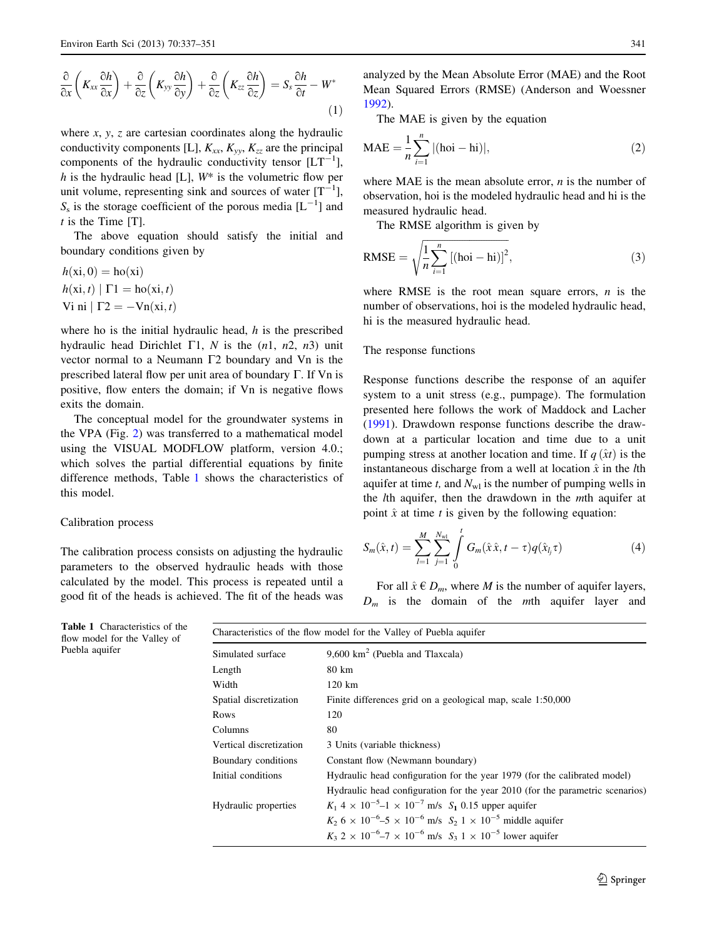$$
\frac{\partial}{\partial x}\left(K_{xx}\frac{\partial h}{\partial x}\right) + \frac{\partial}{\partial z}\left(K_{yy}\frac{\partial h}{\partial y}\right) + \frac{\partial}{\partial z}\left(K_{zz}\frac{\partial h}{\partial z}\right) = S_s\frac{\partial h}{\partial t} - W^*
$$
\n(1)

where  $x$ ,  $y$ ,  $z$  are cartesian coordinates along the hydraulic conductivity components [L],  $K_{xx}$ ,  $K_{yy}$ ,  $K_{zz}$  are the principal components of the hydraulic conductivity tensor  $[LT^{-1}]$ , h is the hydraulic head [L],  $W^*$  is the volumetric flow per unit volume, representing sink and sources of water  $[T^{-1}]$ ,  $S_s$  is the storage coefficient of the porous media  $[L^{-1}]$  and  $t$  is the Time [T].

The above equation should satisfy the initial and boundary conditions given by

$$
h(xi, 0) = ho(xi)
$$
  

$$
h(xi, t) | \Gamma1 = ho(xi, t)
$$
  
Vi ni | 
$$
\Gamma2 = -Vn(xi, t)
$$

where ho is the initial hydraulic head,  $h$  is the prescribed hydraulic head Dirichlet  $\Gamma$ 1, N is the (n1, n2, n3) unit vector normal to a Neumann  $\Gamma$ 2 boundary and Vn is the prescribed lateral flow per unit area of boundary  $\Gamma$ . If  $Vn$  is positive, flow enters the domain; if Vn is negative flows exits the domain.

The conceptual model for the groundwater systems in the VPA (Fig. [2\)](#page-3-0) was transferred to a mathematical model using the VISUAL MODFLOW platform, version 4.0.; which solves the partial differential equations by finite difference methods, Table 1 shows the characteristics of this model.

## Calibration process

The calibration process consists on adjusting the hydraulic parameters to the observed hydraulic heads with those calculated by the model. This process is repeated until a good fit of the heads is achieved. The fit of the heads was

analyzed by the Mean Absolute Error (MAE) and the Root Mean Squared Errors (RMSE) (Anderson and Woessner [1992](#page-13-0)).

The MAE is given by the equation

$$
MAE = \frac{1}{n} \sum_{i=1}^{n} |(ho - hi)|,
$$
 (2)

where MAE is the mean absolute error,  $n$  is the number of observation, hoi is the modeled hydraulic head and hi is the measured hydraulic head.

The RMSE algorithm is given by

$$
RMSE = \sqrt{\frac{1}{n} \sum_{i=1}^{n} \left[ (\text{hoi} - \text{hi}) \right]^2},
$$
\n(3)

where RMSE is the root mean square errors,  $n$  is the number of observations, hoi is the modeled hydraulic head, hi is the measured hydraulic head.

#### The response functions

Response functions describe the response of an aquifer system to a unit stress (e.g., pumpage). The formulation presented here follows the work of Maddock and Lacher [\(1991](#page-13-0)). Drawdown response functions describe the drawdown at a particular location and time due to a unit pumping stress at another location and time. If  $q(\hat{x}t)$  is the instantaneous discharge from a well at location  $\hat{x}$  in the *lth* aquifer at time t, and  $N_{wl}$  is the number of pumping wells in the lth aquifer, then the drawdown in the mth aquifer at point  $\hat{x}$  at time t is given by the following equation:

$$
S_m(\hat{x}, t) = \sum_{l=1}^{M} \sum_{j=1}^{N_{wl}} \int_{0}^{t} G_m(\hat{x}\hat{x}, t - \tau) q(\hat{x}_{l_j} \tau)
$$
(4)

For all  $\hat{x} \in D_m$ , where *M* is the number of aquifer layers,  $D_m$  is the domain of the mth aquifer layer and

| Simulated surface                                                                                     | $9,600 \text{ km}^2$ (Puebla and Tlaxcala)                                                     |  |  |  |  |
|-------------------------------------------------------------------------------------------------------|------------------------------------------------------------------------------------------------|--|--|--|--|
| Length                                                                                                | 80 km                                                                                          |  |  |  |  |
| Width                                                                                                 | 120 km                                                                                         |  |  |  |  |
| Spatial discretization                                                                                | Finite differences grid on a geological map, scale 1:50,000                                    |  |  |  |  |
| Rows                                                                                                  | 120                                                                                            |  |  |  |  |
| Columns                                                                                               | 80                                                                                             |  |  |  |  |
| Vertical discretization                                                                               | 3 Units (variable thickness)                                                                   |  |  |  |  |
| Boundary conditions                                                                                   | Constant flow (Newmann boundary)                                                               |  |  |  |  |
| Initial conditions                                                                                    | Hydraulic head configuration for the year 1979 (for the calibrated model)                      |  |  |  |  |
|                                                                                                       | Hydraulic head configuration for the year 2010 (for the parametric scenarios)                  |  |  |  |  |
| $K_1$ 4 × 10 <sup>-5</sup> -1 × 10 <sup>-7</sup> m/s $S_1$ 0.15 upper aquifer<br>Hydraulic properties |                                                                                                |  |  |  |  |
|                                                                                                       | $K_2$ 6 × 10 <sup>-6</sup> -5 × 10 <sup>-6</sup> m/s $S_2$ 1 × 10 <sup>-5</sup> middle aquifer |  |  |  |  |
|                                                                                                       | $K_3$ 2 × 10 <sup>-6</sup> -7 × 10 <sup>-6</sup> m/s $S_3$ 1 × 10 <sup>-5</sup> lower aquifer  |  |  |  |  |

Table 1 Characteristics of the flow model for the Valley of Puebla aquifer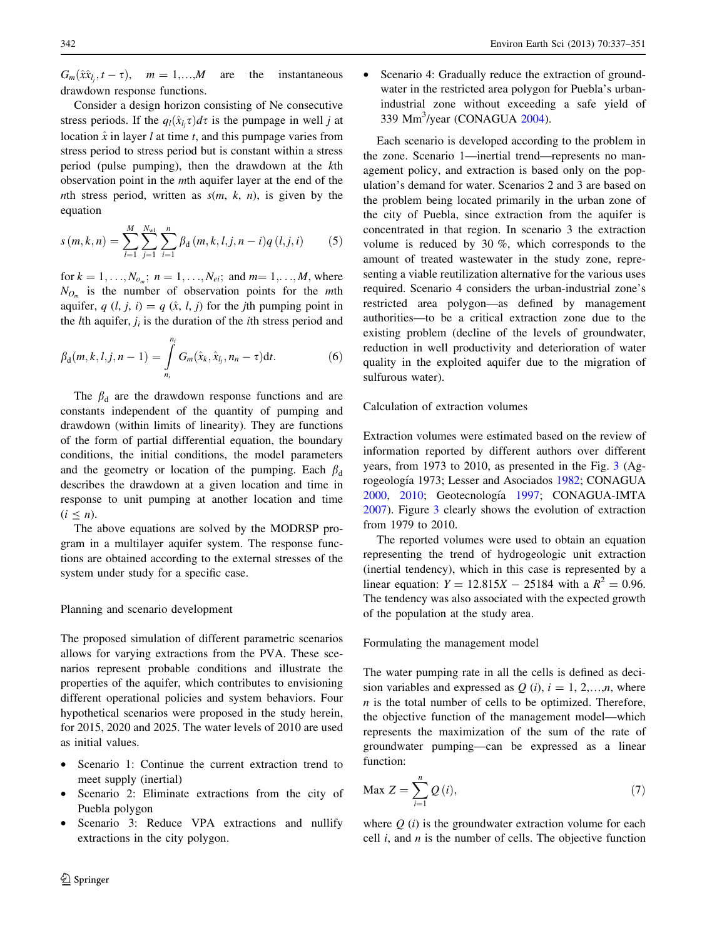<span id="page-5-0"></span> $G_m(\hat{x}\hat{x}_{l_j}, t - \tau)$ ,  $m = 1,...,M$  are the instantaneous drawdown response functions.

Consider a design horizon consisting of Ne consecutive stress periods. If the  $q_l(\hat{x}_{l_j}\tau)d\tau$  is the pumpage in well j at location  $\hat{x}$  in layer l at time t, and this pumpage varies from stress period to stress period but is constant within a stress period (pulse pumping), then the drawdown at the kth observation point in the mth aquifer layer at the end of the nth stress period, written as  $s(m, k, n)$ , is given by the equation

$$
s(m,k,n) = \sum_{l=1}^{M} \sum_{j=1}^{N_{\rm wd}} \sum_{i=1}^{n} \beta_{\rm d}(m,k,l,j,n-i) q(l,j,i) \tag{5}
$$

for  $k = 1, ..., N_{o_m}$ ;  $n = 1, ..., N_{ei}$ ; and  $m = 1, ..., M$ , where  $N_{O_m}$  is the number of observation points for the *mth* aquifer,  $q$   $(l, j, i) = q$   $(\hat{x}, l, j)$  for the jth pumping point in the *l*th aquifer,  $j_i$  is the duration of the *i*th stress period and

$$
\beta_{d}(m, k, l, j, n-1) = \int_{n_i}^{n_i} G_m(\hat{x}_k, \hat{x}_{l_j}, n_n - \tau) dt.
$$
 (6)

The  $\beta_d$  are the drawdown response functions and are constants independent of the quantity of pumping and drawdown (within limits of linearity). They are functions of the form of partial differential equation, the boundary conditions, the initial conditions, the model parameters and the geometry or location of the pumping. Each  $\beta_d$ describes the drawdown at a given location and time in response to unit pumping at another location and time  $(i < n)$ .

The above equations are solved by the MODRSP program in a multilayer aquifer system. The response functions are obtained according to the external stresses of the system under study for a specific case.

### Planning and scenario development

The proposed simulation of different parametric scenarios allows for varying extractions from the PVA. These scenarios represent probable conditions and illustrate the properties of the aquifer, which contributes to envisioning different operational policies and system behaviors. Four hypothetical scenarios were proposed in the study herein, for 2015, 2020 and 2025. The water levels of 2010 are used as initial values.

- Scenario 1: Continue the current extraction trend to meet supply (inertial)
- Scenario 2: Eliminate extractions from the city of Puebla polygon
- Scenario 3: Reduce VPA extractions and nullify extractions in the city polygon.

Scenario 4: Gradually reduce the extraction of groundwater in the restricted area polygon for Puebla's urbanindustrial zone without exceeding a safe yield of 339 Mm<sup>3</sup>/year (CONAGUA [2004](#page-13-0)).

Each scenario is developed according to the problem in the zone. Scenario 1—inertial trend—represents no management policy, and extraction is based only on the population's demand for water. Scenarios 2 and 3 are based on the problem being located primarily in the urban zone of the city of Puebla, since extraction from the aquifer is concentrated in that region. In scenario 3 the extraction volume is reduced by 30 %, which corresponds to the amount of treated wastewater in the study zone, representing a viable reutilization alternative for the various uses required. Scenario 4 considers the urban-industrial zone's restricted area polygon—as defined by management authorities—to be a critical extraction zone due to the existing problem (decline of the levels of groundwater, reduction in well productivity and deterioration of water quality in the exploited aquifer due to the migration of sulfurous water).

Calculation of extraction volumes

Extraction volumes were estimated based on the review of information reported by different authors over different years, from 1973 to 2010, as presented in the Fig. [3](#page-6-0) (Ag-rogeología 1973; Lesser and Asociados [1982;](#page-13-0) CONAGUA [2000](#page-13-0), [2010;](#page-13-0) Geotecnología [1997;](#page-13-0) CONAGUA-IMTA [2007](#page-13-0)). Figure [3](#page-6-0) clearly shows the evolution of extraction from 1979 to 2010.

The reported volumes were used to obtain an equation representing the trend of hydrogeologic unit extraction (inertial tendency), which in this case is represented by a linear equation:  $Y = 12.815X - 25184$  with a  $R^2 = 0.96$ . The tendency was also associated with the expected growth of the population at the study area.

Formulating the management model

The water pumping rate in all the cells is defined as decision variables and expressed as  $O(i)$ ,  $i = 1, 2,...,n$ , where n is the total number of cells to be optimized. Therefore, the objective function of the management model—which represents the maximization of the sum of the rate of groundwater pumping—can be expressed as a linear function:

$$
\text{Max } Z = \sum_{i=1}^{n} Q(i),\tag{7}
$$

where  $Q(i)$  is the groundwater extraction volume for each cell  $i$ , and  $n$  is the number of cells. The objective function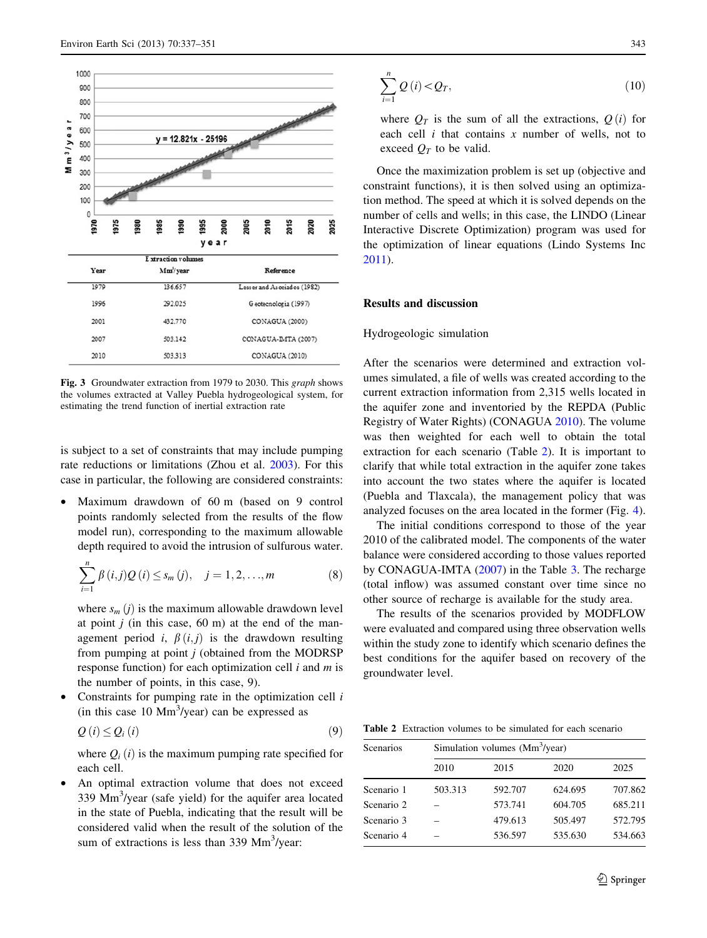<span id="page-6-0"></span>

| 1979 | 136.657 | Lesser and Asociados (1982) |
|------|---------|-----------------------------|
| 1996 | 292.025 | Geotecnología (1997)        |
| 2001 | 432.770 | CONAGUA (2000)              |
| 2007 | 503.142 | CONAGUA-IMTA (2007)         |
| 2010 | 503.313 | CONAGUA (2010)              |

Fig. 3 Groundwater extraction from 1979 to 2030. This graph shows the volumes extracted at Valley Puebla hydrogeological system, for estimating the trend function of inertial extraction rate

is subject to a set of constraints that may include pumping rate reductions or limitations (Zhou et al. [2003](#page-14-0)). For this case in particular, the following are considered constraints:

Maximum drawdown of 60 m (based on 9 control points randomly selected from the results of the flow model run), corresponding to the maximum allowable depth required to avoid the intrusion of sulfurous water.

$$
\sum_{i=1}^{n} \beta(i,j) Q(i) \leq s_m(j), \quad j = 1, 2, ..., m
$$
 (8)

where  $s_m(i)$  is the maximum allowable drawdown level at point  $j$  (in this case, 60 m) at the end of the management period i,  $\beta(i, j)$  is the drawdown resulting from pumping at point  $j$  (obtained from the MODRSP response function) for each optimization cell  $i$  and  $m$  is the number of points, in this case, 9).

Constraints for pumping rate in the optimization cell  $i$ (in this case  $10 \text{ Mm}^3/\text{year}$ ) can be expressed as

$$
Q(i) \le Q_i(i) \tag{9}
$$

where  $Q_i(i)$  is the maximum pumping rate specified for each cell.

An optimal extraction volume that does not exceed 339 Mm<sup>3</sup>/year (safe yield) for the aquifer area located in the state of Puebla, indicating that the result will be considered valid when the result of the solution of the sum of extractions is less than 339 Mm<sup>3</sup>/year:

$$
\sum_{i=1}^{n} Q(i) < Q_T,\tag{10}
$$

where  $Q_T$  is the sum of all the extractions,  $Q(i)$  for each cell  $i$  that contains  $x$  number of wells, not to exceed  $Q_T$  to be valid.

Once the maximization problem is set up (objective and constraint functions), it is then solved using an optimization method. The speed at which it is solved depends on the number of cells and wells; in this case, the LINDO (Linear Interactive Discrete Optimization) program was used for the optimization of linear equations (Lindo Systems Inc [2011](#page-13-0)).

#### Results and discussion

#### Hydrogeologic simulation

After the scenarios were determined and extraction volumes simulated, a file of wells was created according to the current extraction information from 2,315 wells located in the aquifer zone and inventoried by the REPDA (Public Registry of Water Rights) (CONAGUA [2010\)](#page-13-0). The volume was then weighted for each well to obtain the total extraction for each scenario (Table 2). It is important to clarify that while total extraction in the aquifer zone takes into account the two states where the aquifer is located (Puebla and Tlaxcala), the management policy that was analyzed focuses on the area located in the former (Fig. [4](#page-7-0)).

The initial conditions correspond to those of the year 2010 of the calibrated model. The components of the water balance were considered according to those values reported by CONAGUA-IMTA [\(2007](#page-13-0)) in the Table [3](#page-7-0). The recharge (total inflow) was assumed constant over time since no other source of recharge is available for the study area.

The results of the scenarios provided by MODFLOW were evaluated and compared using three observation wells within the study zone to identify which scenario defines the best conditions for the aquifer based on recovery of the groundwater level.

Table 2 Extraction volumes to be simulated for each scenario

| Scenarios  | Simulation volumes (Mm <sup>3</sup> /year) |         |         |         |  |  |  |  |
|------------|--------------------------------------------|---------|---------|---------|--|--|--|--|
|            | 2010                                       | 2015    | 2020    | 2025    |  |  |  |  |
| Scenario 1 | 503.313                                    | 592.707 | 624.695 | 707.862 |  |  |  |  |
| Scenario 2 |                                            | 573.741 | 604.705 | 685.211 |  |  |  |  |
| Scenario 3 |                                            | 479.613 | 505.497 | 572.795 |  |  |  |  |
| Scenario 4 |                                            | 536.597 | 535.630 | 534.663 |  |  |  |  |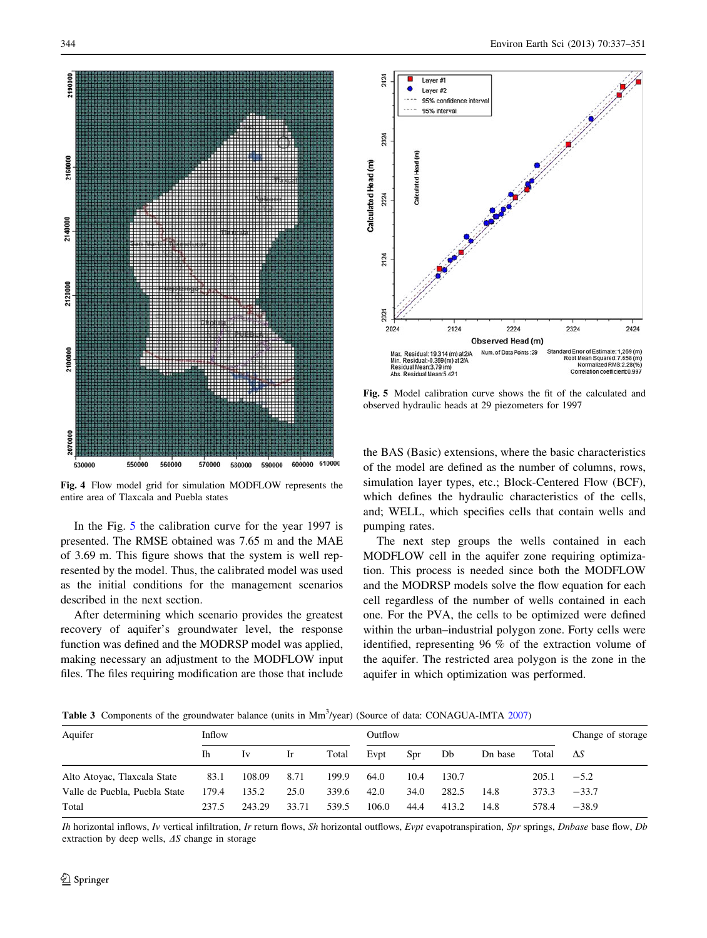<span id="page-7-0"></span>

Fig. 4 Flow model grid for simulation MODFLOW represents the entire area of Tlaxcala and Puebla states

In the Fig. 5 the calibration curve for the year 1997 is presented. The RMSE obtained was 7.65 m and the MAE of 3.69 m. This figure shows that the system is well represented by the model. Thus, the calibrated model was used as the initial conditions for the management scenarios described in the next section.

After determining which scenario provides the greatest recovery of aquifer's groundwater level, the response function was defined and the MODRSP model was applied, making necessary an adjustment to the MODFLOW input files. The files requiring modification are those that include



Fig. 5 Model calibration curve shows the fit of the calculated and observed hydraulic heads at 29 piezometers for 1997

the BAS (Basic) extensions, where the basic characteristics of the model are defined as the number of columns, rows, simulation layer types, etc.; Block-Centered Flow (BCF), which defines the hydraulic characteristics of the cells, and; WELL, which specifies cells that contain wells and pumping rates.

The next step groups the wells contained in each MODFLOW cell in the aquifer zone requiring optimization. This process is needed since both the MODFLOW and the MODRSP models solve the flow equation for each cell regardless of the number of wells contained in each one. For the PVA, the cells to be optimized were defined within the urban–industrial polygon zone. Forty cells were identified, representing 96 % of the extraction volume of the aquifer. The restricted area polygon is the zone in the aquifer in which optimization was performed.

Table 3 Components of the groundwater balance (units in Mm<sup>3</sup>/year) (Source of data: CONAGUA-IMTA [2007](#page-13-0))

| Aquifer                       | Inflow |        |       |       | Outflow |      |       | Change of storage |       |            |
|-------------------------------|--------|--------|-------|-------|---------|------|-------|-------------------|-------|------------|
|                               | Ih     | 1v     | Ir.   | Total | Evpt    | Spr  | Db    | Dn base           | Total | $\Delta S$ |
| Alto Atoyac, Tlaxcala State   | 83.1   | 108.09 | 8.71  | 199.9 | 64.0    | 10.4 | 130.7 |                   | 205.1 | $-5.2$     |
| Valle de Puebla, Puebla State | 179.4  | 135.2  | 25.0  | 339.6 | 42.0    | 34.0 | 282.5 | 14.8              | 373.3 | $-33.7$    |
| Total                         | 237.5  | 243.29 | 33.71 | 539.5 | 106.0   | 44.4 | 413.2 | 14.8              | 578.4 | $-38.9$    |

Ih horizontal inflows, Iv vertical infiltration, Ir return flows, Sh horizontal outflows, Evpt evapotranspiration, Spr springs, Dnbase base flow, Db extraction by deep wells,  $\Delta S$  change in storage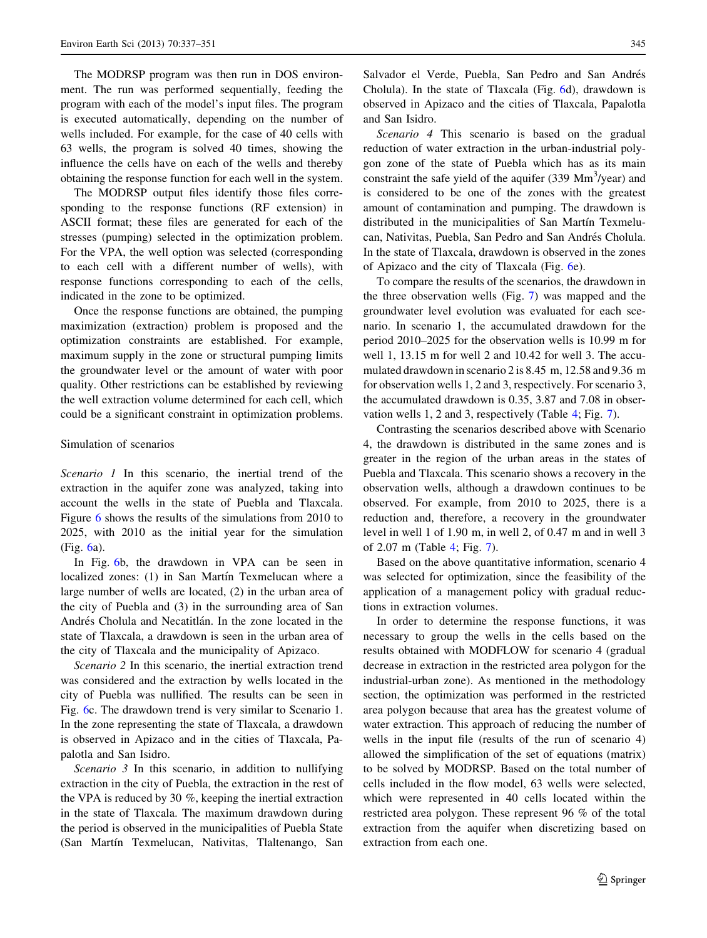The MODRSP program was then run in DOS environment. The run was performed sequentially, feeding the program with each of the model's input files. The program is executed automatically, depending on the number of wells included. For example, for the case of 40 cells with 63 wells, the program is solved 40 times, showing the influence the cells have on each of the wells and thereby obtaining the response function for each well in the system.

The MODRSP output files identify those files corresponding to the response functions (RF extension) in ASCII format; these files are generated for each of the stresses (pumping) selected in the optimization problem. For the VPA, the well option was selected (corresponding to each cell with a different number of wells), with response functions corresponding to each of the cells, indicated in the zone to be optimized.

Once the response functions are obtained, the pumping maximization (extraction) problem is proposed and the optimization constraints are established. For example, maximum supply in the zone or structural pumping limits the groundwater level or the amount of water with poor quality. Other restrictions can be established by reviewing the well extraction volume determined for each cell, which could be a significant constraint in optimization problems.

#### Simulation of scenarios

Scenario 1 In this scenario, the inertial trend of the extraction in the aquifer zone was analyzed, taking into account the wells in the state of Puebla and Tlaxcala. Figure [6](#page-9-0) shows the results of the simulations from 2010 to 2025, with 2010 as the initial year for the simulation (Fig. [6](#page-9-0)a).

In Fig. [6b](#page-9-0), the drawdown in VPA can be seen in localized zones: (1) in San Martín Texmelucan where a large number of wells are located, (2) in the urban area of the city of Puebla and (3) in the surrounding area of San Andrés Cholula and Necatitlán. In the zone located in the state of Tlaxcala, a drawdown is seen in the urban area of the city of Tlaxcala and the municipality of Apizaco.

Scenario 2 In this scenario, the inertial extraction trend was considered and the extraction by wells located in the city of Puebla was nullified. The results can be seen in Fig. [6](#page-9-0)c. The drawdown trend is very similar to Scenario 1. In the zone representing the state of Tlaxcala, a drawdown is observed in Apizaco and in the cities of Tlaxcala, Papalotla and San Isidro.

Scenario 3 In this scenario, in addition to nullifying extraction in the city of Puebla, the extraction in the rest of the VPA is reduced by 30 %, keeping the inertial extraction in the state of Tlaxcala. The maximum drawdown during the period is observed in the municipalities of Puebla State (San Martín Texmelucan, Nativitas, Tlaltenango, San Salvador el Verde, Puebla, San Pedro and San Andrés Cholula). In the state of Tlaxcala (Fig. [6d](#page-9-0)), drawdown is observed in Apizaco and the cities of Tlaxcala, Papalotla and San Isidro.

Scenario 4 This scenario is based on the gradual reduction of water extraction in the urban-industrial polygon zone of the state of Puebla which has as its main constraint the safe yield of the aquifer  $(339 \text{ Mm}^3/\text{year})$  and is considered to be one of the zones with the greatest amount of contamination and pumping. The drawdown is distributed in the municipalities of San Martín Texmelucan, Nativitas, Puebla, San Pedro and San Andrés Cholula. In the state of Tlaxcala, drawdown is observed in the zones of Apizaco and the city of Tlaxcala (Fig. [6](#page-9-0)e).

To compare the results of the scenarios, the drawdown in the three observation wells (Fig. [7](#page-10-0)) was mapped and the groundwater level evolution was evaluated for each scenario. In scenario 1, the accumulated drawdown for the period 2010–2025 for the observation wells is 10.99 m for well 1, 13.15 m for well 2 and 10.42 for well 3. The accumulated drawdown in scenario 2 is 8.45 m, 12.58 and 9.36 m for observation wells 1, 2 and 3, respectively. For scenario 3, the accumulated drawdown is 0.35, 3.87 and 7.08 in observation wells 1, 2 and 3, respectively (Table [4](#page-10-0); Fig. [7](#page-10-0)).

Contrasting the scenarios described above with Scenario 4, the drawdown is distributed in the same zones and is greater in the region of the urban areas in the states of Puebla and Tlaxcala. This scenario shows a recovery in the observation wells, although a drawdown continues to be observed. For example, from 2010 to 2025, there is a reduction and, therefore, a recovery in the groundwater level in well 1 of 1.90 m, in well 2, of 0.47 m and in well 3 of 2.07 m (Table [4](#page-10-0); Fig. [7](#page-10-0)).

Based on the above quantitative information, scenario 4 was selected for optimization, since the feasibility of the application of a management policy with gradual reductions in extraction volumes.

In order to determine the response functions, it was necessary to group the wells in the cells based on the results obtained with MODFLOW for scenario 4 (gradual decrease in extraction in the restricted area polygon for the industrial-urban zone). As mentioned in the methodology section, the optimization was performed in the restricted area polygon because that area has the greatest volume of water extraction. This approach of reducing the number of wells in the input file (results of the run of scenario 4) allowed the simplification of the set of equations (matrix) to be solved by MODRSP. Based on the total number of cells included in the flow model, 63 wells were selected, which were represented in 40 cells located within the restricted area polygon. These represent 96 % of the total extraction from the aquifer when discretizing based on extraction from each one.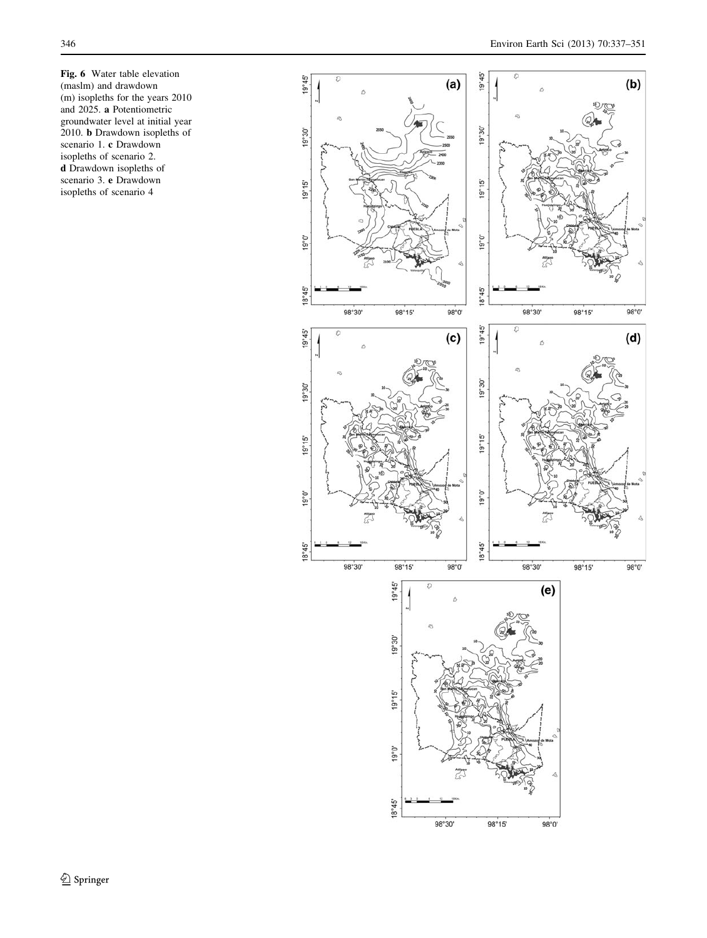<span id="page-9-0"></span>Fig. 6 Water table elevation (maslm) and drawdown (m) isopleths for the years 2010 and 2025. a Potentiometric groundwater level at initial year 2010. b Drawdown isopleths of scenario 1. c Drawdown isopleths of scenario 2. d Drawdown isopleths of scenario 3. e Drawdown isopleths of scenario 4

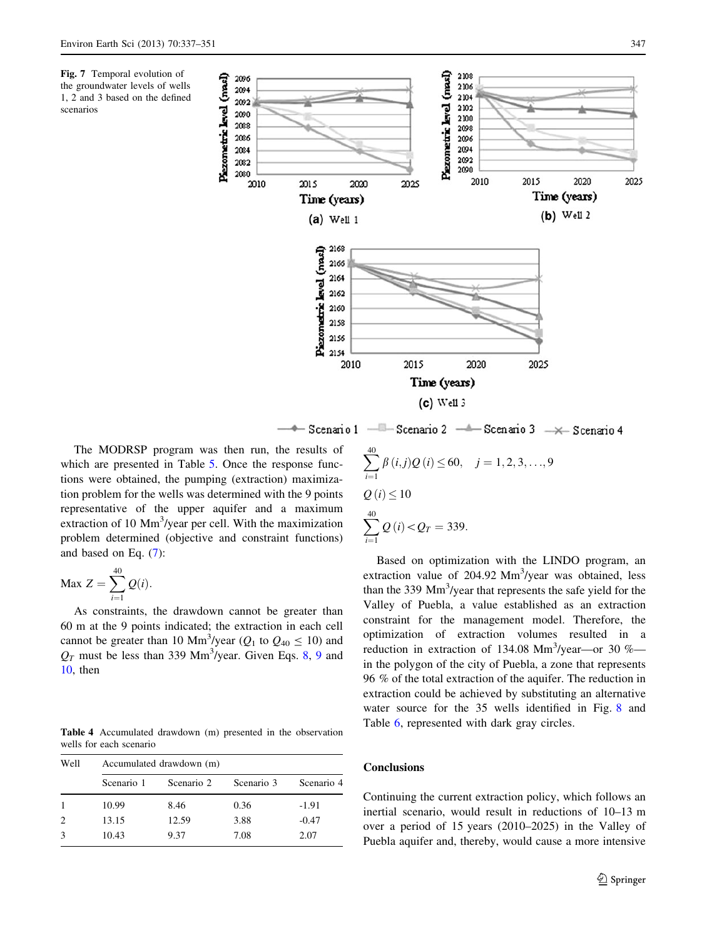<span id="page-10-0"></span>



The MODRSP program was then run, the results of which are presented in Table [5](#page-11-0). Once the response functions were obtained, the pumping (extraction) maximization problem for the wells was determined with the 9 points representative of the upper aquifer and a maximum extraction of 10 Mm<sup>3</sup>/year per cell. With the maximization problem determined (objective and constraint functions) and based on Eq. [\(7](#page-5-0)):

$$
\text{Max } Z = \sum_{i=1}^{40} Q(i).
$$

As constraints, the drawdown cannot be greater than 60 m at the 9 points indicated; the extraction in each cell cannot be greater than 10 Mm<sup>3</sup>/year ( $Q_1$  to  $Q_{40} \le 10$ ) and  $Q_T$  must be less than 339 Mm<sup>3</sup>/year. Given Eqs. [8](#page-6-0), [9](#page-6-0) and [10](#page-6-0), then

Table 4 Accumulated drawdown (m) presented in the observation wells for each scenario

| Well | Accumulated drawdown (m) |            |            |            |  |  |  |  |  |  |
|------|--------------------------|------------|------------|------------|--|--|--|--|--|--|
|      | Scenario 1               | Scenario 2 | Scenario 3 | Scenario 4 |  |  |  |  |  |  |
|      | 10.99                    | 8.46       | 0.36       | $-1.91$    |  |  |  |  |  |  |
| 2    | 13.15                    | 12.59      | 3.88       | $-0.47$    |  |  |  |  |  |  |
| 3    | 10.43                    | 9.37       | 7.08       | 2.07       |  |  |  |  |  |  |

$$
\sum_{i=1}^{40} \beta(i,j)Q(i) \le 60, \quad j = 1, 2, 3, ..., 9
$$
  

$$
Q(i) \le 10
$$
  

$$
\sum_{i=1}^{40} Q(i) < Q_T = 339.
$$

Based on optimization with the LINDO program, an extraction value of 204.92 Mm<sup>3</sup>/year was obtained, less than the 339 Mm<sup>3</sup>/year that represents the safe yield for the Valley of Puebla, a value established as an extraction constraint for the management model. Therefore, the optimization of extraction volumes resulted in a reduction in extraction of 134.08  $Mm<sup>3</sup>/year$  -or 30 %in the polygon of the city of Puebla, a zone that represents 96 % of the total extraction of the aquifer. The reduction in extraction could be achieved by substituting an alternative water source for the 35 wells identified in Fig. [8](#page-12-0) and Table [6](#page-12-0), represented with dark gray circles.

## **Conclusions**

Continuing the current extraction policy, which follows an inertial scenario, would result in reductions of 10–13 m over a period of 15 years (2010–2025) in the Valley of Puebla aquifer and, thereby, would cause a more intensive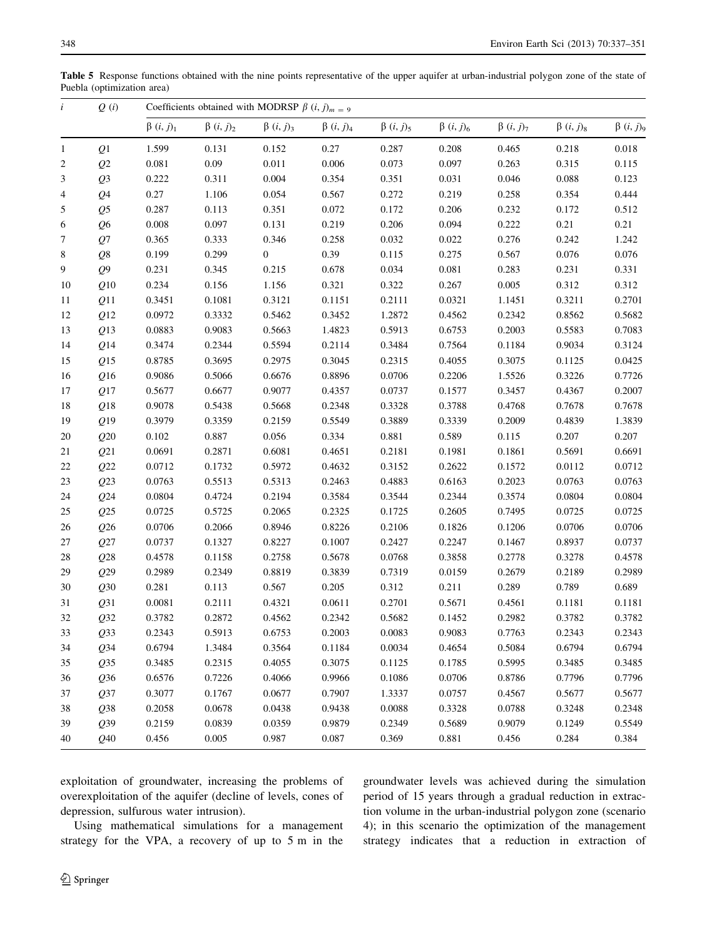<span id="page-11-0"></span>Table 5 Response functions obtained with the nine points representative of the upper aquifer at urban-industrial polygon zone of the state of Puebla (optimization area)

| $\ddot{i}$   | Q(i)            |                    | Coefficients obtained with MODRSP $\beta$ ( <i>i</i> , <i>j</i> ) <sub><i>m</i> = 9</sub> |                    |                   |                    |                    |                    |                    |                               |  |  |
|--------------|-----------------|--------------------|-------------------------------------------------------------------------------------------|--------------------|-------------------|--------------------|--------------------|--------------------|--------------------|-------------------------------|--|--|
|              |                 | $\beta$ $(i, j)_1$ | $\beta$ $(i, j)_2$                                                                        | $\beta$ $(i, j)_3$ | $\beta$ $(i,j)_4$ | $\beta$ $(i, j)_5$ | $\beta$ $(i, j)_6$ | $\beta$ $(i, j)_7$ | $\beta$ $(i, j)_8$ | $\beta$ $(i, j)$ <sub>9</sub> |  |  |
| $\mathbf{1}$ | Q1              | 1.599              | 0.131                                                                                     | 0.152              | 0.27              | 0.287              | 0.208              | 0.465              | 0.218              | 0.018                         |  |  |
| 2            | Q2              | 0.081              | 0.09                                                                                      | 0.011              | 0.006             | 0.073              | 0.097              | 0.263              | 0.315              | 0.115                         |  |  |
| 3            | Q <sub>3</sub>  | 0.222              | 0.311                                                                                     | 0.004              | 0.354             | 0.351              | 0.031              | 0.046              | 0.088              | 0.123                         |  |  |
| 4            | Q <sub>4</sub>  | 0.27               | 1.106                                                                                     | 0.054              | 0.567             | 0.272              | 0.219              | 0.258              | 0.354              | 0.444                         |  |  |
| 5            | Q <sub>5</sub>  | 0.287              | 0.113                                                                                     | 0.351              | 0.072             | 0.172              | 0.206              | 0.232              | 0.172              | 0.512                         |  |  |
| 6            | Q6              | 0.008              | 0.097                                                                                     | 0.131              | 0.219             | 0.206              | 0.094              | 0.222              | 0.21               | 0.21                          |  |  |
| 7            | Q7              | 0.365              | 0.333                                                                                     | 0.346              | 0.258             | 0.032              | 0.022              | 0.276              | 0.242              | 1.242                         |  |  |
| 8            | Q8              | 0.199              | 0.299                                                                                     | $\boldsymbol{0}$   | 0.39              | 0.115              | 0.275              | 0.567              | 0.076              | 0.076                         |  |  |
| 9            | Q <sub>9</sub>  | 0.231              | 0.345                                                                                     | 0.215              | 0.678             | 0.034              | 0.081              | 0.283              | 0.231              | 0.331                         |  |  |
| 10           | Q10             | 0.234              | 0.156                                                                                     | 1.156              | 0.321             | 0.322              | 0.267              | 0.005              | 0.312              | 0.312                         |  |  |
| 11           | Q11             | 0.3451             | 0.1081                                                                                    | 0.3121             | 0.1151            | 0.2111             | 0.0321             | 1.1451             | 0.3211             | 0.2701                        |  |  |
| 12           | Q12             | 0.0972             | 0.3332                                                                                    | 0.5462             | 0.3452            | 1.2872             | 0.4562             | 0.2342             | 0.8562             | 0.5682                        |  |  |
| 13           | Q13             | 0.0883             | 0.9083                                                                                    | 0.5663             | 1.4823            | 0.5913             | 0.6753             | 0.2003             | 0.5583             | 0.7083                        |  |  |
| 14           | Q14             | 0.3474             | 0.2344                                                                                    | 0.5594             | 0.2114            | 0.3484             | 0.7564             | 0.1184             | 0.9034             | 0.3124                        |  |  |
| 15           | Q15             | 0.8785             | 0.3695                                                                                    | 0.2975             | 0.3045            | 0.2315             | 0.4055             | 0.3075             | 0.1125             | 0.0425                        |  |  |
| 16           | Q16             | 0.9086             | 0.5066                                                                                    | 0.6676             | 0.8896            | 0.0706             | 0.2206             | 1.5526             | 0.3226             | 0.7726                        |  |  |
| 17           | Q17             | 0.5677             | 0.6677                                                                                    | 0.9077             | 0.4357            | 0.0737             | 0.1577             | 0.3457             | 0.4367             | 0.2007                        |  |  |
| 18           | Q18             | 0.9078             | 0.5438                                                                                    | 0.5668             | 0.2348            | 0.3328             | 0.3788             | 0.4768             | 0.7678             | 0.7678                        |  |  |
| 19           | Q19             | 0.3979             | 0.3359                                                                                    | 0.2159             | 0.5549            | 0.3889             | 0.3339             | 0.2009             | 0.4839             | 1.3839                        |  |  |
| 20           | Q20             | 0.102              | 0.887                                                                                     | 0.056              | 0.334             | 0.881              | 0.589              | 0.115              | 0.207              | 0.207                         |  |  |
| 21           | Q21             | 0.0691             | 0.2871                                                                                    | 0.6081             | 0.4651            | 0.2181             | 0.1981             | 0.1861             | 0.5691             | 0.6691                        |  |  |
| 22           | Q22             | 0.0712             | 0.1732                                                                                    | 0.5972             | 0.4632            | 0.3152             | 0.2622             | 0.1572             | 0.0112             | 0.0712                        |  |  |
| 23           | Q23             | 0.0763             | 0.5513                                                                                    | 0.5313             | 0.2463            | 0.4883             | 0.6163             | 0.2023             | 0.0763             | 0.0763                        |  |  |
| 24           | Q24             | 0.0804             | 0.4724                                                                                    | 0.2194             | 0.3584            | 0.3544             | 0.2344             | 0.3574             | 0.0804             | 0.0804                        |  |  |
| 25           | Q25             | 0.0725             | 0.5725                                                                                    | 0.2065             | 0.2325            | 0.1725             | 0.2605             | 0.7495             | 0.0725             | 0.0725                        |  |  |
| 26           | Q26             | 0.0706             | 0.2066                                                                                    | 0.8946             | 0.8226            | 0.2106             | 0.1826             | 0.1206             | 0.0706             | 0.0706                        |  |  |
| 27           | Q27             | 0.0737             | 0.1327                                                                                    | 0.8227             | 0.1007            | 0.2427             | 0.2247             | 0.1467             | 0.8937             | 0.0737                        |  |  |
| $28\,$       | Q28             | 0.4578             | 0.1158                                                                                    | 0.2758             | 0.5678            | 0.0768             | 0.3858             | 0.2778             | 0.3278             | 0.4578                        |  |  |
| 29           | Q29             | 0.2989             | 0.2349                                                                                    | 0.8819             | 0.3839            | 0.7319             | 0.0159             | 0.2679             | 0.2189             | 0.2989                        |  |  |
| 30           | Q30             | 0.281              | 0.113                                                                                     | 0.567              | 0.205             | 0.312              | 0.211              | 0.289              | 0.789              | 0.689                         |  |  |
| 31           | Q31             | 0.0081             | 0.2111                                                                                    | 0.4321             | 0.0611            | 0.2701             | 0.5671             | 0.4561             | 0.1181             | 0.1181                        |  |  |
| 32           | Q32             | 0.3782             | 0.2872                                                                                    | 0.4562             | 0.2342            | 0.5682             | 0.1452             | 0.2982             | 0.3782             | 0.3782                        |  |  |
| 33           | Q33             | 0.2343             | 0.5913                                                                                    | 0.6753             | 0.2003            | 0.0083             | 0.9083             | 0.7763             | 0.2343             | 0.2343                        |  |  |
| 34           | Q <sub>34</sub> | 0.6794             | 1.3484                                                                                    | 0.3564             | 0.1184            | 0.0034             | 0.4654             | 0.5084             | 0.6794             | 0.6794                        |  |  |
| 35           | Q35             | 0.3485             | 0.2315                                                                                    | 0.4055             | 0.3075            | 0.1125             | 0.1785             | 0.5995             | 0.3485             | 0.3485                        |  |  |
| 36           | Q36             | 0.6576             | 0.7226                                                                                    | 0.4066             | 0.9966            | 0.1086             | 0.0706             | 0.8786             | 0.7796             | 0.7796                        |  |  |
| 37           | Q37             | 0.3077             | 0.1767                                                                                    | 0.0677             | 0.7907            | 1.3337             | 0.0757             | 0.4567             | 0.5677             | 0.5677                        |  |  |
| 38           | Q38             | 0.2058             | 0.0678                                                                                    | 0.0438             | 0.9438            | 0.0088             | 0.3328             | 0.0788             | 0.3248             | 0.2348                        |  |  |
| 39           | Q39             | 0.2159             | 0.0839                                                                                    | 0.0359             | 0.9879            | 0.2349             | 0.5689             | 0.9079             | 0.1249             | 0.5549                        |  |  |
| 40           | Q40             | 0.456              | 0.005                                                                                     | 0.987              | 0.087             | 0.369              | 0.881              | 0.456              | 0.284              | 0.384                         |  |  |

exploitation of groundwater, increasing the problems of overexploitation of the aquifer (decline of levels, cones of depression, sulfurous water intrusion).

groundwater levels was achieved during the simulation period of 15 years through a gradual reduction in extraction volume in the urban-industrial polygon zone (scenario 4); in this scenario the optimization of the management strategy indicates that a reduction in extraction of

Using mathematical simulations for a management strategy for the VPA, a recovery of up to 5 m in the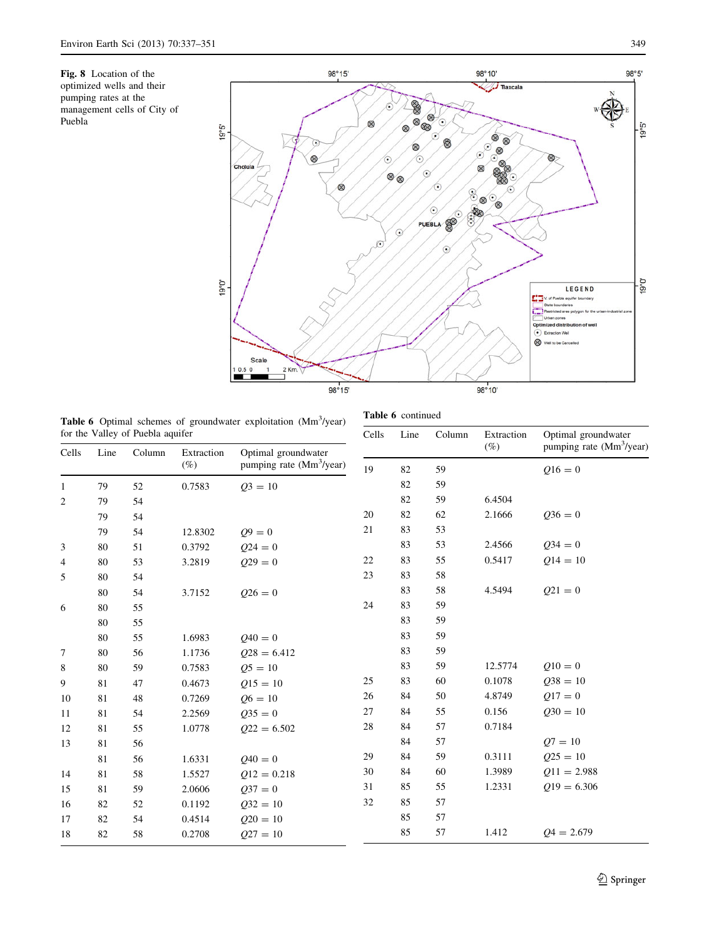<span id="page-12-0"></span>Fig. 8 Location of the optimized wells and their pumping rates at the management cells of City of Puebla



Table 6 continued

Table 6 Optimal schemes of groundwater exploitation (Mm<sup>3</sup>/year) for the Valley of Puebla aquifer

| for the Valley of Puebla aquifer |      |        |            |                                      | Cells | Line | Column | Extraction | Optimal groundwater                  |  |
|----------------------------------|------|--------|------------|--------------------------------------|-------|------|--------|------------|--------------------------------------|--|
| Cells                            | Line | Column | Extraction | Optimal groundwater                  |       |      |        | $(\%)$     | pumping rate (Mm <sup>3</sup> /year) |  |
|                                  |      |        | $(\%)$     | pumping rate (Mm <sup>3</sup> /year) | 19    | 82   | 59     |            | $Q16 = 0$                            |  |
| 1                                | 79   | 52     | 0.7583     | $Q_3 = 10$                           |       | 82   | 59     |            |                                      |  |
| $\overline{c}$                   | 79   | 54     |            |                                      |       | 82   | 59     | 6.4504     |                                      |  |
|                                  | 79   | 54     |            |                                      | 20    | 82   | 62     | 2.1666     | $Q36 = 0$                            |  |
|                                  | 79   | 54     | 12.8302    | $Q9 = 0$                             | 21    | 83   | 53     |            |                                      |  |
| 3                                | 80   | 51     | 0.3792     | $Q24 = 0$                            |       | 83   | 53     | 2.4566     | $Q34 = 0$                            |  |
| $\overline{4}$                   | 80   | 53     | 3.2819     | $029 = 0$                            | 22    | 83   | 55     | 0.5417     | $Q14 = 10$                           |  |
| 5                                | 80   | 54     |            |                                      | 23    | 83   | 58     |            |                                      |  |
|                                  | 80   | 54     | 3.7152     | $0.026 = 0$                          |       | 83   | 58     | 4.5494     | $Q21 = 0$                            |  |
| 6                                | 80   | 55     |            |                                      | 24    | 83   | 59     |            |                                      |  |
|                                  | 80   | 55     |            |                                      |       | 83   | 59     |            |                                      |  |
|                                  | 80   | 55     | 1.6983     | $Q40 = 0$                            |       | 83   | 59     |            |                                      |  |
| 7                                | 80   | 56     | 1.1736     | $028 = 6.412$                        |       | 83   | 59     |            |                                      |  |
| 8                                | 80   | 59     | 0.7583     | $Q5 = 10$                            |       | 83   | 59     | 12.5774    | $Q10 = 0$                            |  |
| 9                                | 81   | 47     | 0.4673     | $015 = 10$                           | 25    | 83   | 60     | 0.1078     | $Q38 = 10$                           |  |
| 10                               | 81   | 48     | 0.7269     | $Q6 = 10$                            | 26    | 84   | 50     | 4.8749     | $Q17 = 0$                            |  |
| 11                               | 81   | 54     | 2.2569     | $Q35 = 0$                            | 27    | 84   | 55     | 0.156      | $030 = 10$                           |  |
| 12                               | 81   | 55     | 1.0778     | $Q22 = 6.502$                        | 28    | 84   | 57     | 0.7184     |                                      |  |
| 13                               | 81   | 56     |            |                                      |       | 84   | 57     |            | $Q7 = 10$                            |  |
|                                  | 81   | 56     | 1.6331     | $Q40 = 0$                            | 29    | 84   | 59     | 0.3111     | $Q25 = 10$                           |  |
| 14                               | 81   | 58     | 1.5527     | $Q12 = 0.218$                        | 30    | 84   | 60     | 1.3989     | $Q11 = 2.988$                        |  |
| 15                               | 81   | 59     | 2.0606     | $037 = 0$                            | 31    | 85   | 55     | 1.2331     | $Q19 = 6.306$                        |  |
| 16                               | 82   | 52     | 0.1192     | $Q32 = 10$                           | 32    | 85   | 57     |            |                                      |  |
| 17                               | 82   | 54     | 0.4514     | $Q20 = 10$                           |       | 85   | 57     |            |                                      |  |
| 18                               | 82   | 58     | 0.2708     | $Q27 = 10$                           |       | 85   | 57     | 1.412      | $Q_4 = 2.679$                        |  |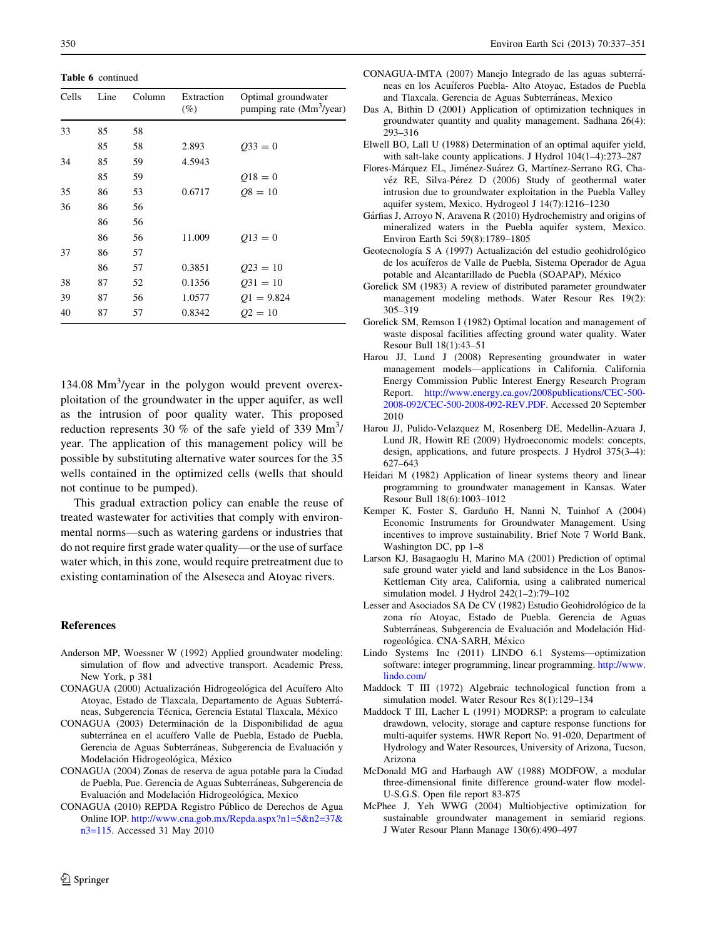<span id="page-13-0"></span>Table 6 continued

| Cells | Line | Column | Extraction<br>(%) | Optimal groundwater<br>pumping rate $(Mm3/year)$ |
|-------|------|--------|-------------------|--------------------------------------------------|
| 33    | 85   | 58     |                   |                                                  |
|       | 85   | 58     | 2.893             | $Q33 = 0$                                        |
| 34    | 85   | 59     | 4.5943            |                                                  |
|       | 85   | 59     |                   | $Q18 = 0$                                        |
| 35    | 86   | 53     | 0.6717            | $08 = 10$                                        |
| 36    | 86   | 56     |                   |                                                  |
|       | 86   | 56     |                   |                                                  |
|       | 86   | 56     | 11.009            | $Q13=0$                                          |
| 37    | 86   | 57     |                   |                                                  |
|       | 86   | 57     | 0.3851            | $Q23 = 10$                                       |
| 38    | 87   | 52     | 0.1356            | $Q31 = 10$                                       |
| 39    | 87   | 56     | 1.0577            | $Q1 = 9.824$                                     |
| 40    | 87   | 57     | 0.8342            | $Q2 = 10$                                        |

134.08 Mm<sup>3</sup>/year in the polygon would prevent overexploitation of the groundwater in the upper aquifer, as well as the intrusion of poor quality water. This proposed reduction represents 30 % of the safe yield of 339  $\text{Mm}^3$ / year. The application of this management policy will be possible by substituting alternative water sources for the 35 wells contained in the optimized cells (wells that should not continue to be pumped).

This gradual extraction policy can enable the reuse of treated wastewater for activities that comply with environmental norms—such as watering gardens or industries that do not require first grade water quality—or the use of surface water which, in this zone, would require pretreatment due to existing contamination of the Alseseca and Atoyac rivers.

#### References

- Anderson MP, Woessner W (1992) Applied groundwater modeling: simulation of flow and advective transport. Academic Press, New York, p 381
- CONAGUA (2000) Actualización Hidrogeológica del Acuífero Alto Atoyac, Estado de Tlaxcala, Departamento de Aguas Subterráneas, Subgerencia Técnica, Gerencia Estatal Tlaxcala, México
- CONAGUA (2003) Determinación de la Disponibilidad de agua subterránea en el acuífero Valle de Puebla, Estado de Puebla, Gerencia de Aguas Subterráneas, Subgerencia de Evaluación y Modelación Hidrogeológica, México
- CONAGUA (2004) Zonas de reserva de agua potable para la Ciudad de Puebla, Pue. Gerencia de Aguas Subterráneas, Subgerencia de Evaluación and Modelación Hidrogeológica, Mexico
- CONAGUA (2010) REPDA Registro Pu´blico de Derechos de Agua Online IOP. [http://www.cna.gob.mx/Repda.aspx?n1=5&n2=37&](http://www.cna.gob.mx/Repda.aspx?n1=5&n2=37&n3=115) [n3=115.](http://www.cna.gob.mx/Repda.aspx?n1=5&n2=37&n3=115) Accessed 31 May 2010
- CONAGUA-IMTA (2007) Manejo Integrado de las aguas subterra´ neas en los Acuíferos Puebla- Alto Atoyac, Estados de Puebla and Tlaxcala. Gerencia de Aguas Subterráneas, Mexico
- Das A, Bithin D (2001) Application of optimization techniques in groundwater quantity and quality management. Sadhana 26(4): 293–316
- Elwell BO, Lall U (1988) Determination of an optimal aquifer yield, with salt-lake county applications. J Hydrol 104(1–4):273–287
- Flores-Márquez EL, Jiménez-Suárez G, Martínez-Serrano RG, Chavéz RE, Silva-Pérez D (2006) Study of geothermal water intrusion due to groundwater exploitation in the Puebla Valley aquifer system, Mexico. Hydrogeol J 14(7):1216–1230
- Gárfias J, Arroyo N, Aravena R (2010) Hydrochemistry and origins of mineralized waters in the Puebla aquifer system, Mexico. Environ Earth Sci 59(8):1789–1805
- Geotecnología S A (1997) Actualización del estudio geohidrológico de los acuíferos de Valle de Puebla, Sistema Operador de Agua potable and Alcantarillado de Puebla (SOAPAP), México
- Gorelick SM (1983) A review of distributed parameter groundwater management modeling methods. Water Resour Res 19(2): 305–319
- Gorelick SM, Remson I (1982) Optimal location and management of waste disposal facilities affecting ground water quality. Water Resour Bull 18(1):43–51
- Harou JJ, Lund J (2008) Representing groundwater in water management models—applications in California. California Energy Commission Public Interest Energy Research Program Report. [http://www.energy.ca.gov/2008publications/CEC-500-](http://www.energy.ca.gov/2008publications/CEC-500-2008-092/CEC-500-2008-092-REV.PDF) [2008-092/CEC-500-2008-092-REV.PDF.](http://www.energy.ca.gov/2008publications/CEC-500-2008-092/CEC-500-2008-092-REV.PDF) Accessed 20 September 2010
- Harou JJ, Pulido-Velazquez M, Rosenberg DE, Medellin-Azuara J, Lund JR, Howitt RE (2009) Hydroeconomic models: concepts, design, applications, and future prospects. J Hydrol 375(3–4): 627–643
- Heidari M (1982) Application of linear systems theory and linear programming to groundwater management in Kansas. Water Resour Bull 18(6):1003–1012
- Kemper K, Foster S, Garduño H, Nanni N, Tuinhof A (2004) Economic Instruments for Groundwater Management. Using incentives to improve sustainability. Brief Note 7 World Bank, Washington DC, pp 1–8
- Larson KJ, Basagaoglu H, Marino MA (2001) Prediction of optimal safe ground water yield and land subsidence in the Los Banos-Kettleman City area, California, using a calibrated numerical simulation model. J Hydrol 242(1–2):79–102
- Lesser and Asociados SA De CV (1982) Estudio Geohidrológico de la zona río Atoyac, Estado de Puebla. Gerencia de Aguas Subterráneas, Subgerencia de Evaluación and Modelación Hidrogeológica. CNA-SARH, México
- Lindo Systems Inc (2011) LINDO 6.1 Systems—optimization software: integer programming, linear programming. [http://www.](http://www.lindo.com/) [lindo.com/](http://www.lindo.com/)
- Maddock T III (1972) Algebraic technological function from a simulation model. Water Resour Res 8(1):129–134
- Maddock T III, Lacher L (1991) MODRSP: a program to calculate drawdown, velocity, storage and capture response functions for multi-aquifer systems. HWR Report No. 91-020, Department of Hydrology and Water Resources, University of Arizona, Tucson, Arizona
- McDonald MG and Harbaugh AW (1988) MODFOW, a modular three-dimensional finite difference ground-water flow model-U-S.G.S. Open file report 83-875
- McPhee J, Yeh WWG (2004) Multiobjective optimization for sustainable groundwater management in semiarid regions. J Water Resour Plann Manage 130(6):490–497